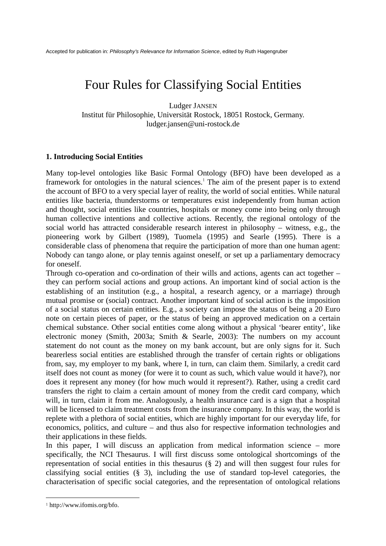# Four Rules for Classifying Social Entities

Ludger JANSEN Institut für Philosophie, Universität Rostock, 18051 Rostock, Germany. ludger.jansen@uni-rostock.de

## **1. Introducing Social Entities**

Many top-level ontologies like Basic Formal Ontology (BFO) have been developed as a framework for ontologies in the natural sciences.<sup>1</sup> The aim of the present paper is to extend the account of BFO to a very special layer of reality, the world of social entities. While natural entities like bacteria, thunderstorms or temperatures exist independently from human action and thought, social entities like countries, hospitals or money come into being only through human collective intentions and collective actions. Recently, the regional ontology of the social world has attracted considerable research interest in philosophy – witness, e.g., the pioneering work by Gilbert (1989), Tuomela (1995) and Searle (1995). There is a considerable class of phenomena that require the participation of more than one human agent: Nobody can tango alone, or play tennis against oneself, or set up a parliamentary democracy for oneself.

Through co-operation and co-ordination of their wills and actions, agents can act together – they can perform social actions and group actions. An important kind of social action is the establishing of an institution (e.g., a hospital, a research agency, or a marriage) through mutual promise or (social) contract. Another important kind of social action is the imposition of a social status on certain entities. E.g., a society can impose the status of being a 20 Euro note on certain pieces of paper, or the status of being an approved medication on a certain chemical substance. Other social entities come along without a physical 'bearer entity', like electronic money (Smith, 2003a; Smith & Searle, 2003): The numbers on my account statement do not count as the money on my bank account, but are only signs for it. Such bearerless social entities are established through the transfer of certain rights or obligations from, say, my employer to my bank, where I, in turn, can claim them. Similarly, a credit card itself does not count as money (for were it to count as such, which value would it have?), nor does it represent any money (for how much would it represent?). Rather, using a credit card transfers the right to claim a certain amount of money from the credit card company, which will, in turn, claim it from me. Analogously, a health insurance card is a sign that a hospital will be licensed to claim treatment costs from the insurance company. In this way, the world is replete with a plethora of social entities, which are highly important for our everyday life, for economics, politics, and culture – and thus also for respective information technologies and their applications in these fields.

In this paper, I will discuss an application from medical information science – more specifically, the NCI Thesaurus. I will first discuss some ontological shortcomings of the representation of social entities in this thesaurus (§ 2) and will then suggest four rules for classifying social entities (§ 3), including the use of standard top-level categories, the characterisation of specific social categories, and the representation of ontological relations

 $\overline{a}$ 

<sup>1</sup> http://www.ifomis.org/bfo.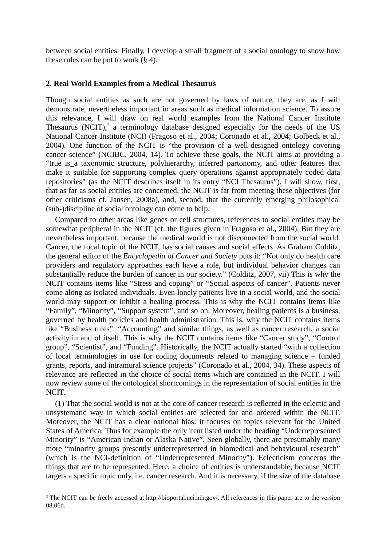between social entities. Finally, I develop a small fragment of a social ontology to show how these rules can be put to work  $(\S 4)$ .

## **2. Real World Examples from a Medical Thesaurus**

Though social entities as such are not governed by laws of nature, they are, as I will demonstrate, nevertheless important in areas such as medical information science. To assure this relevance, I will draw on real world examples from the National Cancer Institute Thesaurus (NCIT), $2$  a terminology database designed especially for the needs of the US National Cancer Institute (NCI) (Fragoso et al., 2004; Coronado et al., 2004; Golbeck et al., 2004). One function of the NCIT is "the provision of a well-designed ontology covering cancer science" (NCIBC, 2004, 14). To achieve these goals, the NCIT aims at providing a "true is\_a taxonomic structure, polyhierarchy, inferred partonomy, and other features that make it suitable for supporting complex query operations against appropriately coded data repositories" (as the NCIT describes itself in its entry "NCI Thesaurus"). I will show, first, that as far as social entities are concerned, the NCIT is far from meeting these objectives (for other criticisms cf. Jansen, 2008a), and, second, that the currently emerging philosophical (sub-)discipline of social ontology can come to help.

Compared to other areas like genes or cell structures, references to social entities may be somewhat peripheral in the NCIT (cf. the figures given in Fragoso et al., 2004). But they are nevertheless important, because the medical world is not disconnected from the social world. Cancer, the focal topic of the NCIT, has social causes and social effects. As Graham Colditz, the general editor of the *Encyclopedia of Cancer and Society* puts it: "Not only do health care providers and regulatory approaches each have a role, but individual behavior changes can substantially reduce the burden of cancer in our society." (Colditz, 2007, vii) This is why the NCIT contains items like "Stress and coping" or "Social aspects of cancer". Patients never come along as isolated individuals. Even lonely patients live in a social world, and the social world may support or inhibit a healing process. This is why the NCIT contains items like "Family", "Minority", "Support system", and so on. Moreover, healing patients is a business, governed by health policies and health administration. This is, why the NCIT contains items like "Business rules", "Accounting" and similar things, as well as cancer research, a social activity in and of itself. This is why the NCIT contains items like "Cancer study", "Control group", "Scientist", and "Funding". Historically, the NCIT actually started "with a collection of local terminologies in use for coding documents related to managing science – funded grants, reports, and intramural science projects" (Coronado et al., 2004, 34). These aspects of relevance are reflected in the choice of social items which are contained in the NCIT. I will now review some of the ontological shortcomings in the representation of social entities in the NCIT.

(1) That the social world is not at the core of cancer research is reflected in the eclectic and unsystematic way in which social entities are selected for and ordered within the NCIT. Moreover, the NCIT has a clear national bias: it focuses on topics relevant for the United States of America. Thus for example the only item listed under the heading "Underrepresented Minority" is "American Indian or Alaska Native". Seen globally, there are presumably many more "minority groups presently underrepresented in biomedical and behavioural research" (which is the NCI-definition of "Underrepresented Minority"). Eclecticism concerns the things that are to be represented. Here, a choice of entities is understandable, because NCIT targets a specific topic only, i.e. cancer research. And it is necessary, if the size of the database

 $\overline{a}$ 

<sup>2</sup> The NCIT can be freely accessed at http://bioportal.nci.nih.gov/. All references in this paper are to the version 08.06d.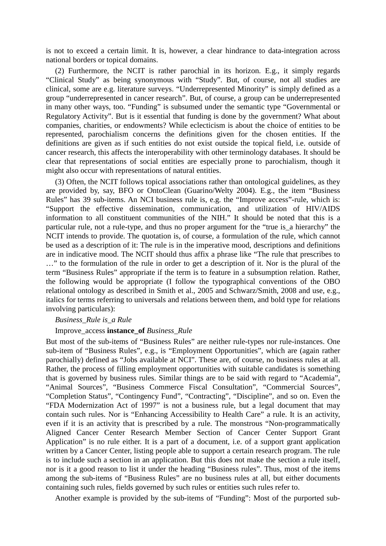is not to exceed a certain limit. It is, however, a clear hindrance to data-integration across national borders or topical domains.

(2) Furthermore, the NCIT is rather parochial in its horizon. E.g., it simply regards "Clinical Study" as being synonymous with "Study". But, of course, not all studies are clinical, some are e.g. literature surveys. "Underrepresented Minority" is simply defined as a group "underrepresented in cancer research". But, of course, a group can be underrepresented in many other ways, too. "Funding" is subsumed under the semantic type "Governmental or Regulatory Activity". But is it essential that funding is done by the government? What about companies, charities, or endowments? While eclecticism is about the choice of entities to be represented, parochialism concerns the definitions given for the chosen entities. If the definitions are given as if such entities do not exist outside the topical field, i.e. outside of cancer research, this affects the interoperability with other terminology databases. It should be clear that representations of social entities are especially prone to parochialism, though it might also occur with representations of natural entities.

(3) Often, the NCIT follows topical associations rather than ontological guidelines, as they are provided by, say, BFO or OntoClean (Guarino/Welty 2004). E.g., the item "Business Rules" has 39 sub-items. An NCI business rule is, e.g. the "Improve access"-rule, which is: "Support the effective dissemination, communication, and utilization of HIV/AIDS information to all constituent communities of the NIH." It should be noted that this is a particular rule, not a rule-type, and thus no proper argument for the "true is\_a hierarchy" the NCIT intends to provide. The quotation is, of course, a formulation of the rule, which cannot be used as a description of it: The rule is in the imperative mood, descriptions and definitions are in indicative mood. The NCIT should thus affix a phrase like "The rule that prescribes to …" to the formulation of the rule in order to get a description of it. Nor is the plural of the term "Business Rules" appropriate if the term is to feature in a subsumption relation. Rather, the following would be appropriate (I follow the typographical conventions of the OBO relational ontology as described in Smith et al., 2005 and Schwarz/Smith, 2008 and use, e.g., italics for terms referring to universals and relations between them, and bold type for relations involving particulars):

#### *Business\_Rule is\_a Rule*

## Improve\_access **instance\_of** *Business\_Rule*

But most of the sub-items of "Business Rules" are neither rule-types nor rule-instances. One sub-item of "Business Rules", e.g., is "Employment Opportunities", which are (again rather parochially) defined as "Jobs available at NCI". These are, of course, no business rules at all. Rather, the process of filling employment opportunities with suitable candidates is something that is governed by business rules. Similar things are to be said with regard to "Academia", "Animal Sources", "Business Commerce Fiscal Consultation", "Commercial Sources", "Completion Status", "Contingency Fund", "Contracting", "Discipline", and so on. Even the "FDA Modernization Act of 1997" is not a business rule, but a legal document that may contain such rules. Nor is "Enhancing Accessibility to Health Care" a rule. It is an activity, even if it is an activity that is prescribed by a rule. The monstrous "Non-programmatically Aligned Cancer Center Research Member Section of Cancer Center Support Grant Application" is no rule either. It is a part of a document, i.e. of a support grant application written by a Cancer Center, listing people able to support a certain research program. The rule is to include such a section in an application. But this does not make the section a rule itself, nor is it a good reason to list it under the heading "Business rules". Thus, most of the items among the sub-items of "Business Rules" are no business rules at all, but either documents containing such rules, fields governed by such rules or entities such rules refer to.

Another example is provided by the sub-items of "Funding": Most of the purported sub-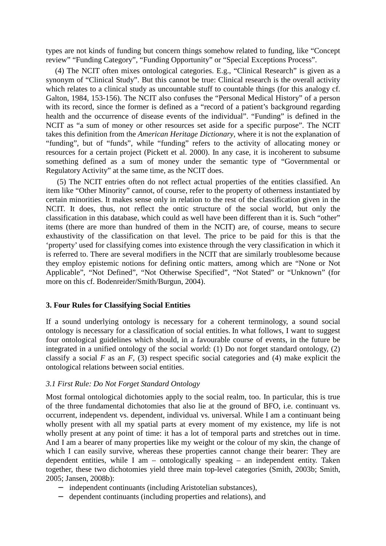types are not kinds of funding but concern things somehow related to funding, like "Concept review" "Funding Category", "Funding Opportunity" or "Special Exceptions Process".

(4) The NCIT often mixes ontological categories. E.g., "Clinical Research" is given as a synonym of "Clinical Study". But this cannot be true: Clinical research is the overall activity which relates to a clinical study as uncountable stuff to countable things (for this analogy cf. Galton, 1984, 153-156). The NCIT also confuses the "Personal Medical History" of a person with its record, since the former is defined as a "record of a patient's background regarding health and the occurrence of disease events of the individual". "Funding" is defined in the NCIT as "a sum of money or other resources set aside for a specific purpose". The NCIT takes this definition from the *American Heritage Dictionary*, where it is not the explanation of "funding", but of "funds", while "funding" refers to the activity of allocating money or resources for a certain project (Pickett et al. 2000). In any case, it is incoherent to subsume something defined as a sum of money under the semantic type of "Governmental or Regulatory Activity" at the same time, as the NCIT does.

 (5) The NCIT entries often do not reflect actual properties of the entities classified. An item like "Other Minority" cannot, of course, refer to the property of otherness instantiated by certain minorities. It makes sense only in relation to the rest of the classification given in the NCIT. It does, thus, not reflect the ontic structure of the social world, but only the classification in this database, which could as well have been different than it is. Such "other" items (there are more than hundred of them in the NCIT) are, of course, means to secure exhaustivity of the classification on that level. The price to be paid for this is that the 'property' used for classifying comes into existence through the very classification in which it is referred to. There are several modifiers in the NCIT that are similarly troublesome because they employ epistemic notions for defining ontic matters, among which are "None or Not Applicable", "Not Defined", "Not Otherwise Specified", "Not Stated" or "Unknown" (for more on this cf. Bodenreider/Smith/Burgun, 2004).

## **3. Four Rules for Classifying Social Entities**

If a sound underlying ontology is necessary for a coherent terminology, a sound social ontology is necessary for a classification of social entities. In what follows, I want to suggest four ontological guidelines which should, in a favourable course of events, in the future be integrated in a unified ontology of the social world: (1) Do not forget standard ontology, (2) classify a social *F* as an *F*, (3) respect specific social categories and (4) make explicit the ontological relations between social entities.

## *3.1 First Rule: Do Not Forget Standard Ontology*

Most formal ontological dichotomies apply to the social realm, too. In particular, this is true of the three fundamental dichotomies that also lie at the ground of BFO, i.e. continuant vs. occurrent, independent vs. dependent, individual vs. universal. While I am a continuant being wholly present with all my spatial parts at every moment of my existence, my life is not wholly present at any point of time: it has a lot of temporal parts and stretches out in time. And I am a bearer of many properties like my weight or the colour of my skin, the change of which I can easily survive, whereas these properties cannot change their bearer: They are dependent entities, while I am – ontologically speaking – an independent entity. Taken together, these two dichotomies yield three main top-level categories (Smith, 2003b; Smith, 2005; Jansen, 2008b):

- − independent continuants (including Aristotelian substances),
- − dependent continuants (including properties and relations), and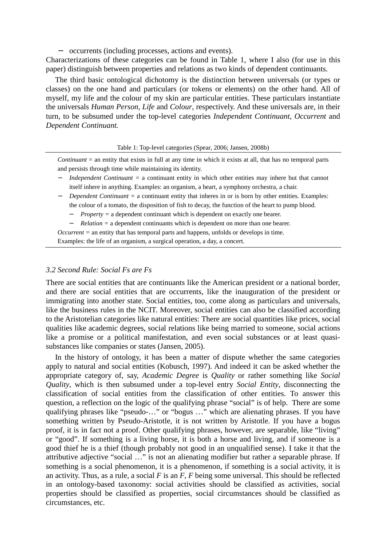− occurrents (including processes, actions and events).

Characterizations of these categories can be found in Table 1, where I also (for use in this paper) distinguish between properties and relations as two kinds of dependent continuants.

The third basic ontological dichotomy is the distinction between universals (or types or classes) on the one hand and particulars (or tokens or elements) on the other hand. All of myself, my life and the colour of my skin are particular entities. These particulars instantiate the universals *Human Person*, *Life* and *Colour*, respectively. And these universals are, in their turn, to be subsumed under the top-level categories *Independent Continuant*, *Occurrent* and *Dependent Continuant.* 

#### Table 1: Top-level categories (Spear, 2006; Jansen, 2008b)

*Continuant* = an entity that exists in full at any time in which it exists at all, that has no temporal parts and persists through time while maintaining its identity.

- − *Independent Continuant =* a continuant entity in which other entities may inhere but that cannot itself inhere in anything. Examples: an organism, a heart, a symphony orchestra, a chair.
- − *Dependent Continuant =* a continuant entity that inheres in or is born by other entities. Examples: the colour of a tomato, the disposition of fish to decay, the function of the heart to pump blood.
	- *Property* = a dependent continuant which is dependent on exactly one bearer.
	- − *Relation =* a dependent continuants which is dependent on more than one bearer.

*Occurrent* = an entity that has temporal parts and happens, unfolds or develops in time.

Examples: the life of an organism, a surgical operation, a day, a concert.

## *3.2 Second Rule: Social Fs are Fs*

There are social entities that are continuants like the American president or a national border, and there are social entities that are occurrents, like the inauguration of the president or immigrating into another state. Social entities, too, come along as particulars and universals, like the business rules in the NCIT. Moreover, social entities can also be classified according to the Aristotelian categories like natural entities: There are social quantities like prices, social qualities like academic degrees, social relations like being married to someone, social actions like a promise or a political manifestation, and even social substances or at least quasisubstances like companies or states (Jansen, 2005).

In the history of ontology, it has been a matter of dispute whether the same categories apply to natural and social entities (Kobusch, 1997). And indeed it can be asked whether the appropriate category of, say, *Academic Degree* is *Quality* or rather something like *Social Quality*, which is then subsumed under a top-level entry *Social Entity*, disconnecting the classification of social entities from the classification of other entities. To answer this question, a reflection on the logic of the qualifying phrase "social" is of help. There are some qualifying phrases like "pseudo-…" or "bogus …" which are alienating phrases. If you have something written by Pseudo-Aristotle, it is not written by Aristotle. If you have a bogus proof, it is in fact not a proof. Other qualifying phrases, however, are separable, like "living" or "good". If something is a living horse, it is both a horse and living, and if someone is a good thief he is a thief (though probably not good in an unqualified sense). I take it that the attributive adjective "social …" is not an alienating modifier but rather a separable phrase. If something is a social phenomenon, it is a phenomenon, if something is a social activity, it is an activity. Thus, as a rule, a social *F* is an *F*, *F* being some universal. This should be reflected in an ontology-based taxonomy: social activities should be classified as activities, social properties should be classified as properties, social circumstances should be classified as circumstances, etc.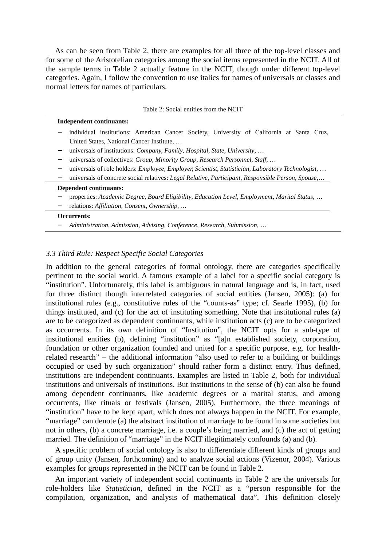As can be seen from Table 2, there are examples for all three of the top-level classes and for some of the Aristotelian categories among the social items represented in the NCIT. All of the sample terms in Table 2 actually feature in the NCIT, though under different top-level categories. Again, I follow the convention to use italics for names of universals or classes and normal letters for names of particulars.

| Table 2: Social entities from the NCIT                                                                                                                                                                                                                                                                                                                                                                                                                                                                                        |
|-------------------------------------------------------------------------------------------------------------------------------------------------------------------------------------------------------------------------------------------------------------------------------------------------------------------------------------------------------------------------------------------------------------------------------------------------------------------------------------------------------------------------------|
| Independent continuants:                                                                                                                                                                                                                                                                                                                                                                                                                                                                                                      |
| individual institutions: American Cancer Society, University of California at Santa Cruz,<br>United States, National Cancer Institute,<br>universals of institutions: <i>Company, Family, Hospital, State, University, </i><br>universals of collectives: Group, Minority Group, Research Personnel, Staff,<br>universals of role holders: <i>Employee, Employer, Scientist, Statistician, Laboratory Technologist, </i><br>universals of concrete social relatives: Legal Relative, Participant, Responsible Person, Spouse, |
| <b>Dependent continuants:</b><br>properties: Academic Degree, Board Eligibility, Education Level, Employment, Marital Status,<br>relations: Affiliation, Consent, Ownership,                                                                                                                                                                                                                                                                                                                                                  |
| Occurrents:                                                                                                                                                                                                                                                                                                                                                                                                                                                                                                                   |

− *Administration*, *Admission*, *Advising*, *Conference*, *Research*, *Submission*, …

## *3.3 Third Rule: Respect Specific Social Categories*

In addition to the general categories of formal ontology, there are categories specifically pertinent to the social world. A famous example of a label for a specific social category is "institution". Unfortunately, this label is ambiguous in natural language and is, in fact, used for three distinct though interrelated categories of social entities (Jansen, 2005): (a) for institutional rules (e.g., constitutive rules of the "counts-as" type; cf. Searle 1995), (b) for things instituted, and (c) for the act of instituting something. Note that institutional rules (a) are to be categorized as dependent continuants, while institution acts (c) are to be categorized as occurrents. In its own definition of "Institution", the NCIT opts for a sub-type of institutional entities (b), defining "institution" as "[a]n established society, corporation, foundation or other organization founded and united for a specific purpose, e.g. for healthrelated research" – the additional information "also used to refer to a building or buildings occupied or used by such organization" should rather form a distinct entry. Thus defined, institutions are independent continuants. Examples are listed in Table 2, both for individual institutions and universals of institutions. But institutions in the sense of (b) can also be found among dependent continuants, like academic degrees or a marital status, and among occurrents, like rituals or festivals (Jansen, 2005). Furthermore, the three meanings of "institution" have to be kept apart, which does not always happen in the NCIT. For example, "marriage" can denote (a) the abstract institution of marriage to be found in some societies but not in others, (b) a concrete marriage, i.e. a couple's being married, and (c) the act of getting married. The definition of "marriage" in the NCIT illegitimately confounds (a) and (b).

A specific problem of social ontology is also to differentiate different kinds of groups and of group unity (Jansen, forthcoming) and to analyze social actions (Vizenor, 2004). Various examples for groups represented in the NCIT can be found in Table 2.

An important variety of independent social continuants in Table 2 are the universals for role-holders like *Statistician*, defined in the NCIT as a "person responsible for the compilation, organization, and analysis of mathematical data". This definition closely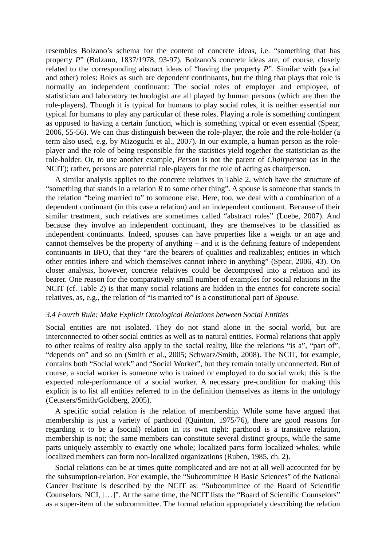resembles Bolzano's schema for the content of concrete ideas, i.e. "something that has property *P*" (Bolzano, 1837/1978, 93-97). Bolzano's concrete ideas are, of course, closely related to the corresponding abstract ideas of "having the property *P*". Similar with (social and other) roles: Roles as such are dependent continuants, but the thing that plays that role is normally an independent continuant: The social roles of employer and employee, of statistician and laboratory technologist are all played by human persons (which are then the role-players). Though it is typical for humans to play social roles, it is neither essential nor typical for humans to play any particular of these roles. Playing a role is something contingent as opposed to having a certain function, which is something typical or even essential (Spear, 2006, 55-56). We can thus distinguish between the role-player, the role and the role-holder (a term also used, e.g. by Mizoguchi et al., 2007). In our example, a human person as the roleplayer and the role of being responsible for the statistics yield together the statistician as the role-holder. Or, to use another example, *Person* is not the parent of *Chairperson* (as in the NCIT); rather, persons are potential role-players for the role of acting as chairperson.

A similar analysis applies to the concrete relatives in Table 2, which have the structure of "something that stands in a relation *R* to some other thing". A spouse is someone that stands in the relation "being married to" to someone else. Here, too, we deal with a combination of a dependent continuant (in this case a relation) and an independent continuant. Because of their similar treatment, such relatives are sometimes called "abstract roles" (Loebe, 2007). And because they involve an independent continuant, they are themselves to be classified as independent continuants. Indeed, spouses can have properties like a weight or an age and cannot themselves be the property of anything – and it is the defining feature of independent continuants in BFO, that they "are the bearers of qualities and realizables; entities in which other entities inhere and which themselves cannot inhere in anything" (Spear, 2006, 43). On closer analysis, however, concrete relatives could be decomposed into a relation and its bearer. One reason for the comparatively small number of examples for social relations in the NCIT (cf. Table 2) is that many social relations are hidden in the entries for concrete social relatives, as, e.g., the relation of "is married to" is a constitutional part of *Spouse*.

#### *3.4 Fourth Rule: Make Explicit Ontological Relations between Social Entities*

Social entities are not isolated. They do not stand alone in the social world, but are interconnected to other social entities as well as to natural entities. Formal relations that apply to other realms of reality also apply to the social reality, like the relations "is a", "part of", "depends on" and so on (Smith et al., 2005; Schwarz/Smith, 2008). The NCIT, for example, contains both "Social work" and "Social Worker", but they remain totally unconnected. But of course, a social worker is someone who is trained or employed to do social work; this is the expected role-performance of a social worker. A necessary pre-condition for making this explicit is to list all entities referred to in the definition themselves as items in the ontology (Ceusters/Smith/Goldberg, 2005).

A specific social relation is the relation of membership. While some have argued that membership is just a variety of parthood (Quinton, 1975/76), there are good reasons for regarding it to be a (social) relation in its own right: parthood is a transitive relation, membership is not; the same members can constitute several distinct groups, while the same parts uniquely assembly to exactly one whole; localized parts form localized wholes, while localized members can form non-localized organizations (Ruben, 1985, ch. 2).

Social relations can be at times quite complicated and are not at all well accounted for by the subsumption-relation. For example, the "Subcommittee B Basic Sciences" of the National Cancer Institute is described by the NCIT as: "Subcommittee of the Board of Scientific Counselors, NCI, […]". At the same time, the NCIT lists the "Board of Scientific Counselors" as a super-item of the subcommittee. The formal relation appropriately describing the relation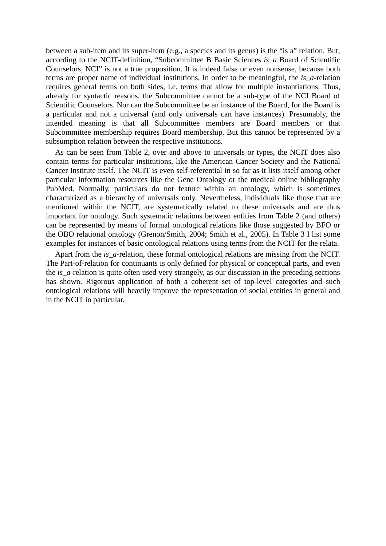between a sub-item and its super-item (e.g., a species and its genus) is the "is a" relation. But, according to the NCIT-definition, "Subcommittee B Basic Sciences *is\_a* Board of Scientific Counselors, NCI" is not a true proposition. It is indeed false or even nonsense, because both terms are proper name of individual institutions. In order to be meaningful, the *is\_a*-relation requires general terms on both sides, i.e. terms that allow for multiple instantiations. Thus, already for syntactic reasons, the Subcommittee cannot be a sub-type of the NCI Board of Scientific Counselors. Nor can the Subcommittee be an instance of the Board, for the Board is a particular and not a universal (and only universals can have instances). Presumably, the intended meaning is that all Subcommittee members are Board members or that Subcommittee membership requires Board membership. But this cannot be represented by a subsumption relation between the respective institutions.

As can be seen from Table 2, over and above to universals or types, the NCIT does also contain terms for particular institutions, like the American Cancer Society and the National Cancer Institute itself. The NCIT is even self-referential in so far as it lists itself among other particular information resources like the Gene Ontology or the medical online bibliography PubMed. Normally, particulars do not feature within an ontology, which is sometimes characterized as a hierarchy of universals only. Nevertheless, individuals like those that are mentioned within the NCIT, are systematically related to these universals and are thus important for ontology. Such systematic relations between entities from Table 2 (and others) can be represented by means of formal ontological relations like those suggested by BFO or the OBO relational ontology (Grenon/Smith, 2004; Smith et al., 2005). In Table 3 I list some examples for instances of basic ontological relations using terms from the NCIT for the relata.

Apart from the *is\_a*-relation, these formal ontological relations are missing from the NCIT. The Part-of-relation for continuants is only defined for physical or conceptual parts, and even the *is a*-relation is quite often used very strangely, as our discussion in the preceding sections has shown. Rigorous application of both a coherent set of top-level categories and such ontological relations will heavily improve the representation of social entities in general and in the NCIT in particular.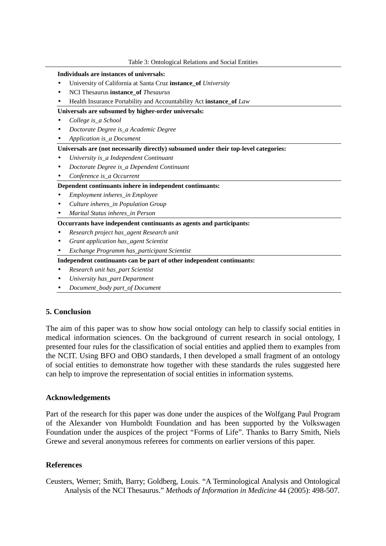## **Individuals are instances of universals:**

- University of California at Santa Cruz **instance\_of** *University*
- NCI Thesaurus **instance\_of** *Thesaurus*
- Health Insurance Portability and Accountability Act **instance\_of** *Law*

## **Universals are subsumed by higher-order universals:**

- *College is\_a School*
- *Doctorate Degree is\_a Academic Degree*
- *Application is\_a Document*

#### **Universals are (not necessarily directly) subsumed under their top-level categories:**

- *University is\_a Independent Continuant*
- *Doctorate Degree is\_a Dependent Continuant*
- *Conference is\_a Occurrent*

## **Dependent continuants inhere in independent continuants:**

- *Employment inheres\_in Employee*
- *Culture inheres\_in Population Group*
- *Marital Status inheres\_in Person*

## **Occurrants have independent continuants as agents and participants:**

- *Research project has\_agent Research unit*
- *Grant application has\_agent Scientist*
- *Exchange Programm has\_participant Scientist*

## **Independent continuants can be part of other independent continuants:**

- *Research unit has\_part Scientist*
- *University has\_part Department*
- *Document\_body part\_of Document*

# **5. Conclusion**

The aim of this paper was to show how social ontology can help to classify social entities in medical information sciences. On the background of current research in social ontology, I presented four rules for the classification of social entities and applied them to examples from the NCIT. Using BFO and OBO standards, I then developed a small fragment of an ontology of social entities to demonstrate how together with these standards the rules suggested here can help to improve the representation of social entities in information systems.

## **Acknowledgements**

Part of the research for this paper was done under the auspices of the Wolfgang Paul Program of the Alexander von Humboldt Foundation and has been supported by the Volkswagen Foundation under the auspices of the project "Forms of Life". Thanks to Barry Smith, Niels Grewe and several anonymous referees for comments on earlier versions of this paper.

# **References**

Ceusters, Werner; Smith, Barry; Goldberg, Louis. "A Terminological Analysis and Ontological Analysis of the NCI Thesaurus." *Methods of Information in Medicine* 44 (2005): 498-507.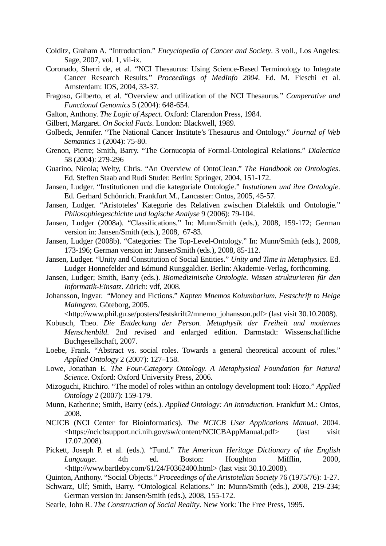- Colditz, Graham A. "Introduction." *Encyclopedia of Cancer and Society*. 3 voll., Los Angeles: Sage, 2007, vol. 1, vii-ix.
- Coronado, Sherri de, et al. "NCI Thesaurus: Using Science-Based Terminology to Integrate Cancer Research Results." *Proceedings of MedInfo 2004*. Ed. M. Fieschi et al. Amsterdam: IOS, 2004, 33-37.
- Fragoso, Gilberto, et al. "Overview and utilization of the NCI Thesaurus." *Comperative and Functional Genomics* 5 (2004): 648-654.
- Galton, Anthony. *The Logic of Aspect*. Oxford: Clarendon Press, 1984.
- Gilbert, Margaret. *On Social Facts*. London: Blackwell, 1989.
- Golbeck, Jennifer. "The National Cancer Institute's Thesaurus and Ontology." *Journal of Web Semantics* 1 (2004): 75-80.
- Grenon, Pierre; Smith, Barry. "The Cornucopia of Formal-Ontological Relations." *Dialectica* 58 (2004): 279-296
- Guarino, Nicola; Welty, Chris. "An Overview of OntoClean." *The Handbook on Ontologies*. Ed. Steffen Staab and Rudi Studer. Berlin: Springer, 2004, 151-172.
- Jansen, Ludger. "Institutionen und die kategoriale Ontologie." *Instutionen und ihre Ontologie*. Ed. Gerhard Schönrich. Frankfurt M., Lancaster: Ontos, 2005, 45-57.
- Jansen, Ludger. "Aristoteles' Kategorie des Relativen zwischen Dialektik und Ontologie." *Philosophiegeschichte und logische Analyse* 9 (2006): 79-104.
- Jansen, Ludger (2008a). "Classifications." In: Munn/Smith (eds.), 2008, 159-172; German version in: Jansen/Smith (eds.), 2008, 67-83.
- Jansen, Ludger (2008b). "Categories: The Top-Level-Ontology." In: Munn/Smith (eds.), 2008, 173-196; German version in: Jansen/Smith (eds.), 2008, 85-112.
- Jansen, Ludger. "Unity and Constitution of Social Entities." *Unity and Time in Metaphysics*. Ed. Ludger Honnefelder and Edmund Runggaldier. Berlin: Akademie-Verlag, forthcoming.
- Jansen, Ludger; Smith, Barry (eds.). *Biomedizinische Ontologie. Wissen strukturieren für den Informatik-Einsatz*. Zürich: vdf, 2008.
- Johansson, Ingvar. "Money and Fictions." *Kapten Mnemos Kolumbarium. Festschrift to Helge Malmgren*. Göteborg, 2005.

<http://www.phil.gu.se/posters/festskrift2/mnemo\_johansson.pdf> (last visit 30.10.2008).

- Kobusch, Theo. *Die Entdeckung der Person. Metaphysik der Freiheit und modernes Menschenbild*. 2nd revised and enlarged edition. Darmstadt: Wissenschaftliche Buchgesellschaft, 2007.
- Loebe, Frank. "Abstract vs. social roles. Towards a general theoretical account of roles." *Applied Ontology* 2 (2007): 127–158.
- Lowe, Jonathan E. *The Four-Category Ontology. A Metaphysical Foundation for Natural Science*. Oxford: Oxford University Press, 2006.
- Mizoguchi, Riichiro. "The model of roles within an ontology development tool: Hozo." *Applied Ontology* 2 (2007): 159-179.
- Munn, Katherine; Smith, Barry (eds.). *Applied Ontology: An Introduction.* Frankfurt M.: Ontos, 2008.
- NCICB (NCI Center for Bioinformatics). *The NCICB User Applications Manual*. 2004. <https://ncicbsupport.nci.nih.gov/sw/content/NCICBAppManual.pdf> (last visit 17.07.2008).
- Pickett, Joseph P. et al. (eds.). "Fund." *The American Heritage Dictionary of the English Language*. 4th ed. Boston: Houghton Mifflin, 2000, <http://www.bartleby.com/61/24/F0362400.html> (last visit 30.10.2008).

Quinton, Anthony. "Social Objects." *Proceedings of the Aristotelian Society* 76 (1975/76): 1-27.

- Schwarz, Ulf; Smith, Barry. "Ontological Relations." In: Munn/Smith (eds.), 2008, 219-234; German version in: Jansen/Smith (eds.), 2008, 155-172.
- Searle, John R. *The Construction of Social Reality*. New York: The Free Press, 1995.